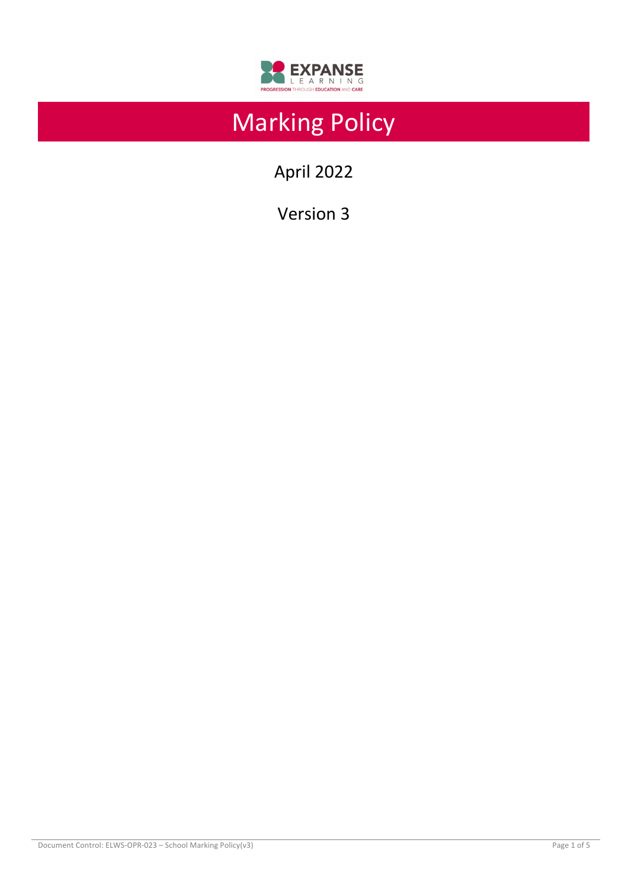

# Marking Policy

April 2022

Version 3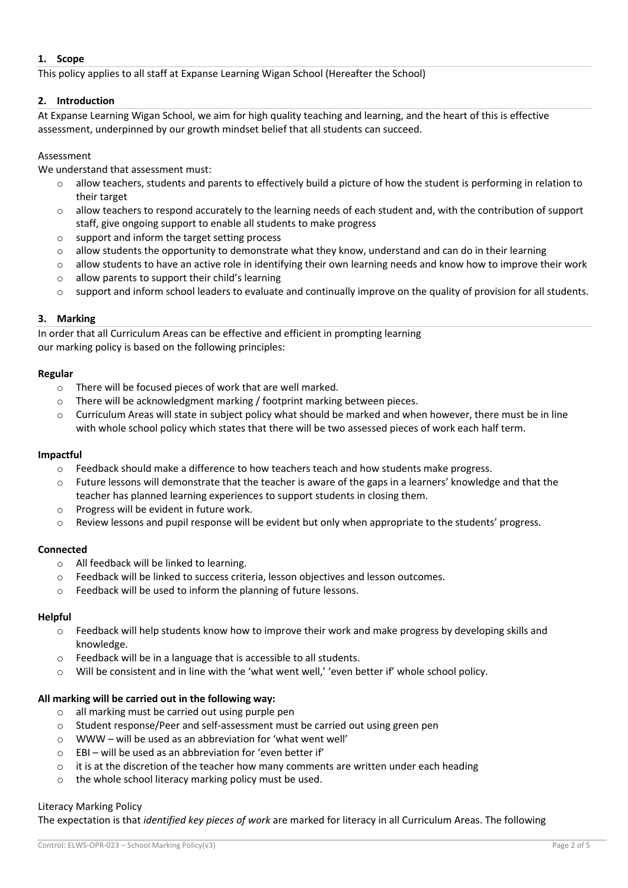## **1. Scope**

This policy applies to all staff at Expanse Learning Wigan School (Hereafter the School)

## **2. Introduction**

At Expanse Learning Wigan School, we aim for high quality teaching and learning, and the heart of this is effective assessment, underpinned by our growth mindset belief that all students can succeed.

## Assessment

We understand that assessment must:

- allow teachers, students and parents to effectively build a picture of how the student is performing in relation to their target
- $\circ$  allow teachers to respond accurately to the learning needs of each student and, with the contribution of support staff, give ongoing support to enable all students to make progress
- o support and inform the target setting process
- $\circ$  allow students the opportunity to demonstrate what they know, understand and can do in their learning
- o allow students to have an active role in identifying their own learning needs and know how to improve their work
- $\circ$  allow parents to support their child's learning
- $\circ$  support and inform school leaders to evaluate and continually improve on the quality of provision for all students.

## **3. Marking**

In order that all Curriculum Areas can be effective and efficient in prompting learning our marking policy is based on the following principles:

## **Regular**

- o There will be focused pieces of work that are well marked.
- o There will be acknowledgment marking / footprint marking between pieces.
- o Curriculum Areas will state in subject policy what should be marked and when however, there must be in line with whole school policy which states that there will be two assessed pieces of work each half term.

# **Impactful**

- $\circ$  Feedback should make a difference to how teachers teach and how students make progress.
- $\circ$  Future lessons will demonstrate that the teacher is aware of the gaps in a learners' knowledge and that the teacher has planned learning experiences to support students in closing them.
- o Progress will be evident in future work.
- $\circ$  Review lessons and pupil response will be evident but only when appropriate to the students' progress.

#### **Connected**

- o All feedback will be linked to learning.
- o Feedback will be linked to success criteria, lesson objectives and lesson outcomes.
- o Feedback will be used to inform the planning of future lessons.

# **Helpful**

- $\circ$  Feedback will help students know how to improve their work and make progress by developing skills and knowledge.
- o Feedback will be in a language that is accessible to all students.
- $\circ$  Will be consistent and in line with the 'what went well,' 'even better if' whole school policy.

#### **All marking will be carried out in the following way:**

- o all marking must be carried out using purple pen
- o Student response/Peer and self-assessment must be carried out using green pen
- o WWW will be used as an abbreviation for 'what went well'
- $\circ$  EBI will be used as an abbreviation for 'even better if'
- $\circ$  it is at the discretion of the teacher how many comments are written under each heading
- o the whole school literacy marking policy must be used.

#### Literacy Marking Policy

The expectation is that *identified key pieces of work* are marked for literacy in all Curriculum Areas. The following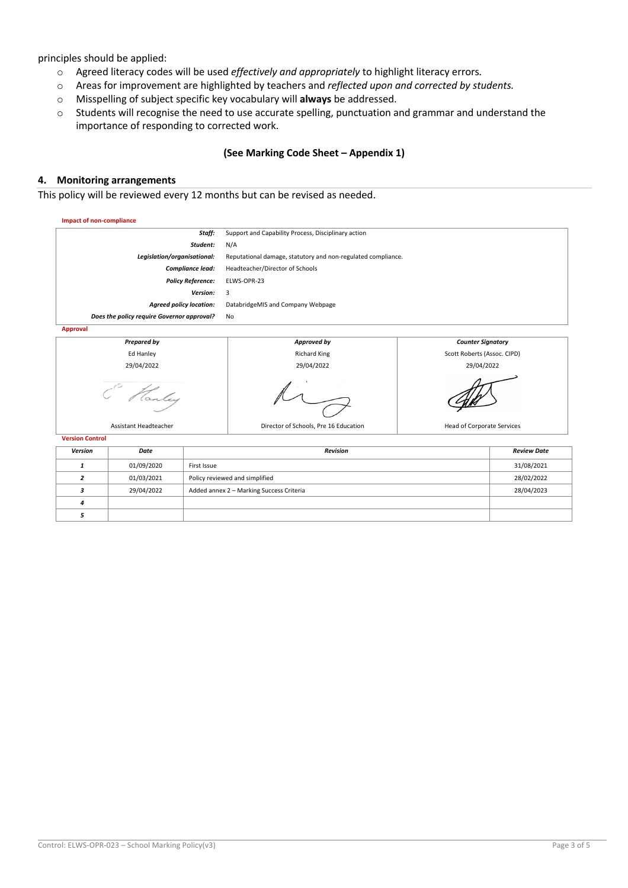principles should be applied:

- o Agreed literacy codes will be used *effectively and appropriately* to highlight literacy errors*.*
- o Areas for improvement are highlighted by teachers and *reflected upon and corrected by students.*
- o Misspelling of subject specific key vocabulary will **always** be addressed.
- o Students will recognise the need to use accurate spelling, punctuation and grammar and understand the importance of responding to corrected work.

## **(See Marking Code Sheet – Appendix 1)**

#### **4. Monitoring arrangements**

This policy will be reviewed every 12 months but can be revised as needed.

| <b>Impact of non-compliance</b>            |                                                              |                             |  |  |  |
|--------------------------------------------|--------------------------------------------------------------|-----------------------------|--|--|--|
| Staff:                                     | Support and Capability Process, Disciplinary action          |                             |  |  |  |
| Student:                                   | N/A                                                          |                             |  |  |  |
| Legislation/organisational:                | Reputational damage, statutory and non-regulated compliance. |                             |  |  |  |
| Compliance lead:                           | Headteacher/Director of Schools                              |                             |  |  |  |
| <b>Policy Reference:</b>                   | ELWS-OPR-23                                                  |                             |  |  |  |
| Version:                                   | 3                                                            |                             |  |  |  |
| <b>Agreed policy location:</b>             | DatabridgeMIS and Company Webpage                            |                             |  |  |  |
| Does the policy require Governor approval? | No                                                           |                             |  |  |  |
| Approval                                   |                                                              |                             |  |  |  |
| <b>Prepared by</b>                         | Approved by                                                  | <b>Counter Signatory</b>    |  |  |  |
| Ed Hanley                                  | <b>Richard King</b>                                          | Scott Roberts (Assoc. CIPD) |  |  |  |
| 29/04/2022                                 | 29/04/2022                                                   | 29/04/2022                  |  |  |  |
| Ranley                                     |                                                              |                             |  |  |  |

Assistant Headteacher **Director of Schools, Pre 16 Education** Head of Corporate Services

| <b>Version Control</b> |            |                                          |                    |  |  |
|------------------------|------------|------------------------------------------|--------------------|--|--|
| Version                | Date       | <b>Revision</b>                          | <b>Review Date</b> |  |  |
|                        | 01/09/2020 | First Issue                              | 31/08/2021         |  |  |
|                        | 01/03/2021 | Policy reviewed and simplified           | 28/02/2022         |  |  |
|                        | 29/04/2022 | Added annex 2 - Marking Success Criteria | 28/04/2023         |  |  |
|                        |            |                                          |                    |  |  |
|                        |            |                                          |                    |  |  |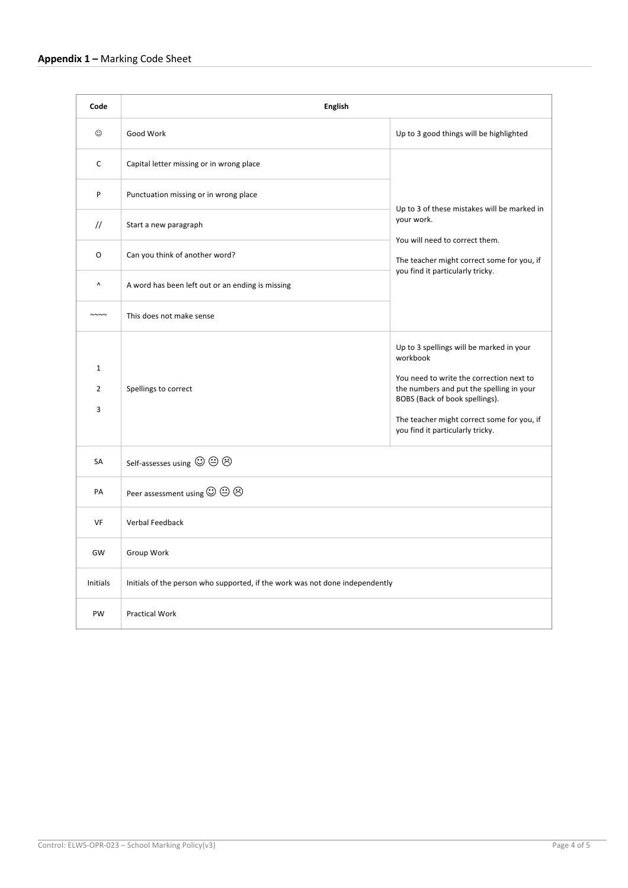| Code                               | <b>English</b>                                                               |                                                                                                                                                                                                                                                                  |  |  |
|------------------------------------|------------------------------------------------------------------------------|------------------------------------------------------------------------------------------------------------------------------------------------------------------------------------------------------------------------------------------------------------------|--|--|
| ☺                                  | Good Work                                                                    | Up to 3 good things will be highlighted                                                                                                                                                                                                                          |  |  |
| C                                  | Capital letter missing or in wrong place                                     | Up to 3 of these mistakes will be marked in<br>your work.<br>You will need to correct them.<br>The teacher might correct some for you, if<br>you find it particularly tricky.                                                                                    |  |  |
| P                                  | Punctuation missing or in wrong place                                        |                                                                                                                                                                                                                                                                  |  |  |
| $\frac{1}{2}$                      | Start a new paragraph                                                        |                                                                                                                                                                                                                                                                  |  |  |
| O                                  | Can you think of another word?                                               |                                                                                                                                                                                                                                                                  |  |  |
| Λ                                  | A word has been left out or an ending is missing                             |                                                                                                                                                                                                                                                                  |  |  |
| $\sim\sim\sim\sim$                 | This does not make sense                                                     |                                                                                                                                                                                                                                                                  |  |  |
| $\mathbf 1$<br>$\overline{2}$<br>3 | Spellings to correct                                                         | Up to 3 spellings will be marked in your<br>workbook<br>You need to write the correction next to<br>the numbers and put the spelling in your<br>BOBS (Back of book spellings).<br>The teacher might correct some for you, if<br>you find it particularly tricky. |  |  |
| SA                                 | Self-assesses using $\odot \odot \odot$                                      |                                                                                                                                                                                                                                                                  |  |  |
| PA                                 | Peer assessment using $\odot \oplus \odot$                                   |                                                                                                                                                                                                                                                                  |  |  |
| VF                                 | Verbal Feedback                                                              |                                                                                                                                                                                                                                                                  |  |  |
| GW                                 | Group Work                                                                   |                                                                                                                                                                                                                                                                  |  |  |
| Initials                           | Initials of the person who supported, if the work was not done independently |                                                                                                                                                                                                                                                                  |  |  |
| PW                                 | <b>Practical Work</b>                                                        |                                                                                                                                                                                                                                                                  |  |  |